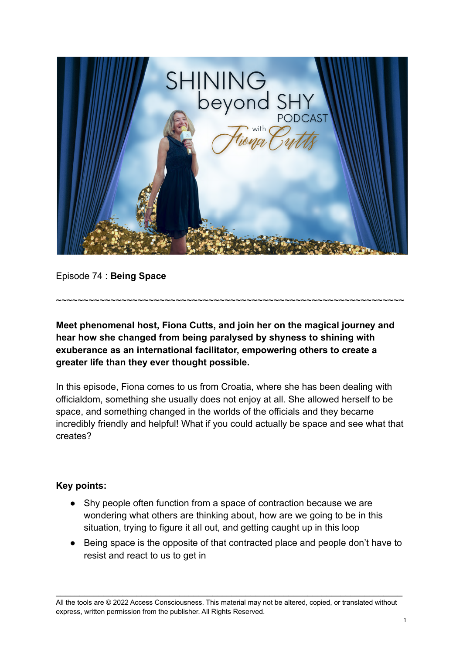

Episode 74 : **Being Space**

**Meet phenomenal host, Fiona Cutts, and join her on the magical journey and hear how she changed from being paralysed by shyness to shining with exuberance as an international facilitator, empowering others to create a greater life than they ever thought possible.**

~~~~~~~~~~~~~~~~~~~~~~~~~~~~~~~~~~~~~~~~~~~~~~~~~~~~~~~~~~~~~~~~

In this episode, Fiona comes to us from Croatia, where she has been dealing with officialdom, something she usually does not enjoy at all. She allowed herself to be space, and something changed in the worlds of the officials and they became incredibly friendly and helpful! What if you could actually be space and see what that creates?

## **Key points:**

- Shy people often function from a space of contraction because we are wondering what others are thinking about, how are we going to be in this situation, trying to figure it all out, and getting caught up in this loop
- Being space is the opposite of that contracted place and people don't have to resist and react to us to get in

All the tools are © 2022 Access Consciousness. This material may not be altered, copied, or translated without express, written permission from the publisher. All Rights Reserved.

\_\_\_\_\_\_\_\_\_\_\_\_\_\_\_\_\_\_\_\_\_\_\_\_\_\_\_\_\_\_\_\_\_\_\_\_\_\_\_\_\_\_\_\_\_\_\_\_\_\_\_\_\_\_\_\_\_\_\_\_\_\_\_\_\_\_\_\_\_\_\_\_\_